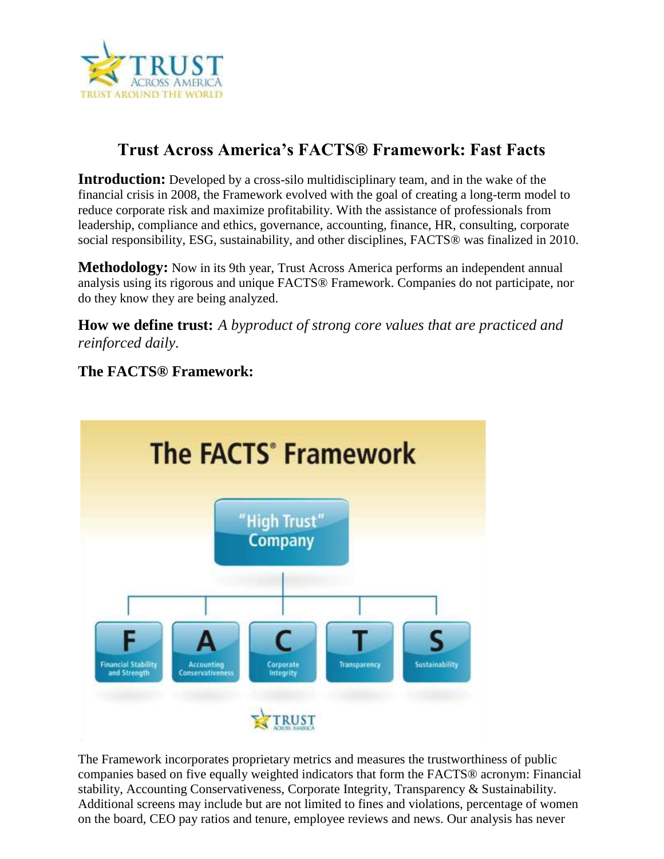

## **Trust Across America's FACTS® Framework: Fast Facts**

**Introduction:** Developed by a cross-silo multidisciplinary team, and in the wake of the financial crisis in 2008, the Framework evolved with the goal of creating a long-term model to reduce corporate risk and maximize profitability. With the assistance of professionals from leadership, compliance and ethics, governance, accounting, finance, HR, consulting, corporate social responsibility, ESG, sustainability, and other disciplines, FACTS® was finalized in 2010.

**Methodology:** Now in its 9th year, Trust Across America performs an independent annual analysis using its rigorous and unique FACTS® Framework. Companies do not participate, nor do they know they are being analyzed.

**How we define trust:** *A byproduct of strong core values that are practiced and reinforced daily.*

**The FACTS® Framework:**



The Framework incorporates proprietary metrics and measures the trustworthiness of public companies based on five equally weighted indicators that form the FACTS® acronym: Financial stability, Accounting Conservativeness, Corporate Integrity, Transparency & Sustainability. Additional screens may include but are not limited to fines and violations, percentage of women on the board, CEO pay ratios and tenure, employee reviews and news. Our analysis has never